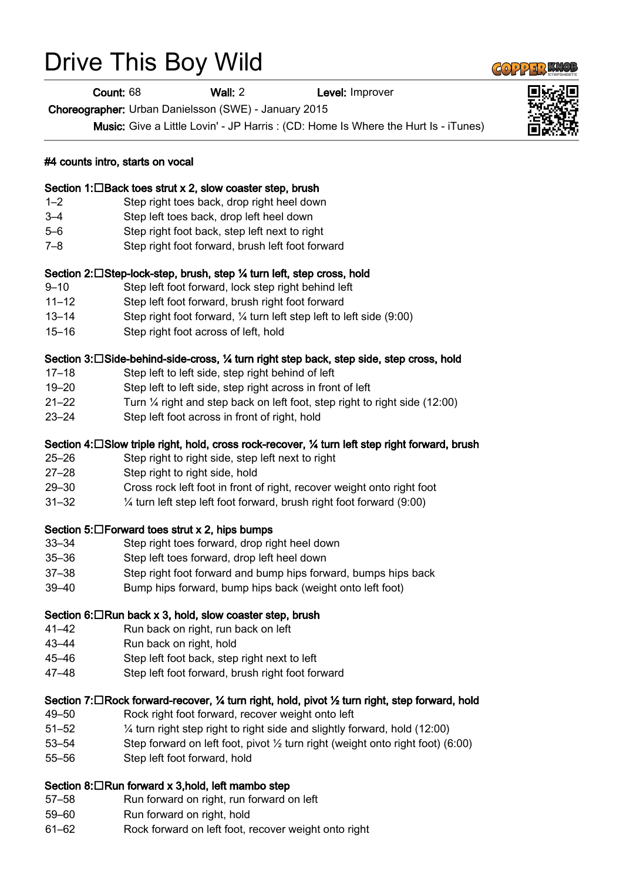# Drive This Boy Wild

Count: 68 Wall: 2 Level: Improver

Choreographer: Urban Danielsson (SWE) - January 2015

Music: Give a Little Lovin' - JP Harris : (CD: Home Is Where the Hurt Is - iTunes)



#### Section 1: $\Box$ Back toes strut x 2, slow coaster step, brush

- 1–2 Step right toes back, drop right heel down
- 3–4 Step left toes back, drop left heel down
- 5–6 Step right foot back, step left next to right
- 7–8 Step right foot forward, brush left foot forward

#### Section 2:□Step-lock-step, brush, step ¼ turn left, step cross, hold

- 9–10 Step left foot forward, lock step right behind left
- 11–12 Step left foot forward, brush right foot forward
- 13–14 Step right foot forward, ¼ turn left step left to left side (9:00)
- 15–16 Step right foot across of left, hold

#### Section 3:□Side-behind-side-cross, ¼ turn right step back, step side, step cross, hold

- 17–18 Step left to left side, step right behind of left
- 19–20 Step left to left side, step right across in front of left
- 21–22 Turn ¼ right and step back on left foot, step right to right side (12:00)
- 23–24 Step left foot across in front of right, hold

#### Section 4: $\square$  Slow triple right, hold, cross rock-recover,  $\%$  turn left step right forward, brush

- 25–26 Step right to right side, step left next to right
- 27–28 Step right to right side, hold
- 29–30 Cross rock left foot in front of right, recover weight onto right foot
- 31–32 ¼ turn left step left foot forward, brush right foot forward (9:00)

#### Section 5: $\Box$  Forward toes strut x 2, hips bumps

- 33–34 Step right toes forward, drop right heel down
- 35–36 Step left toes forward, drop left heel down
- 37–38 Step right foot forward and bump hips forward, bumps hips back
- 39–40 Bump hips forward, bump hips back (weight onto left foot)

#### Section 6: $\Box$ Run back x 3, hold, slow coaster step, brush

- 41–42 Run back on right, run back on left
- 43–44 Run back on right, hold
- 45–46 Step left foot back, step right next to left
- 47–48 Step left foot forward, brush right foot forward

#### Section 7: $\Box$ Rock forward-recover,  $\frac{1}{2}$  turn right, hold, pivot  $\frac{1}{2}$  turn right, step forward, hold

- 49–50 Rock right foot forward, recover weight onto left
- 51–52 ¼ turn right step right to right side and slightly forward, hold (12:00)
- 53–54 Step forward on left foot, pivot ½ turn right (weight onto right foot) (6:00)
- 55–56 Step left foot forward, hold

#### Section 8: $\Box$ Run forward x 3,hold, left mambo step

- 57–58 Run forward on right, run forward on left
- 59–60 Run forward on right, hold
- 61–62 Rock forward on left foot, recover weight onto right